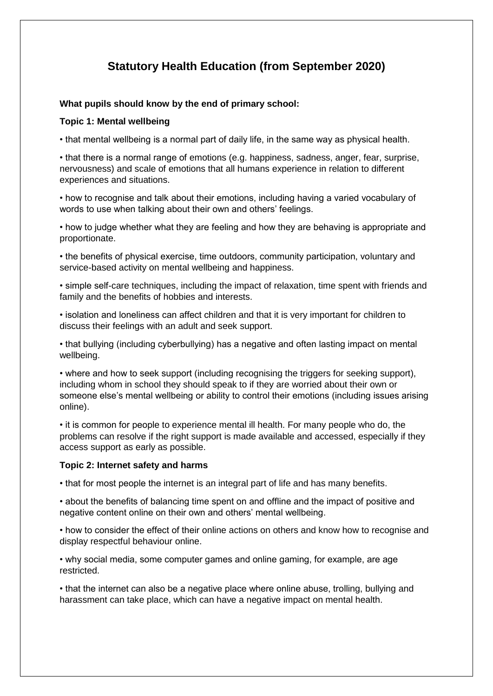# **Statutory Health Education (from September 2020)**

### **What pupils should know by the end of primary school:**

# **Topic 1: Mental wellbeing**

• that mental wellbeing is a normal part of daily life, in the same way as physical health.

• that there is a normal range of emotions (e.g. happiness, sadness, anger, fear, surprise, nervousness) and scale of emotions that all humans experience in relation to different experiences and situations.

• how to recognise and talk about their emotions, including having a varied vocabulary of words to use when talking about their own and others' feelings.

• how to judge whether what they are feeling and how they are behaving is appropriate and proportionate.

• the benefits of physical exercise, time outdoors, community participation, voluntary and service-based activity on mental wellbeing and happiness.

• simple self-care techniques, including the impact of relaxation, time spent with friends and family and the benefits of hobbies and interests.

• isolation and loneliness can affect children and that it is very important for children to discuss their feelings with an adult and seek support.

• that bullying (including cyberbullying) has a negative and often lasting impact on mental wellbeing.

• where and how to seek support (including recognising the triggers for seeking support), including whom in school they should speak to if they are worried about their own or someone else's mental wellbeing or ability to control their emotions (including issues arising online).

• it is common for people to experience mental ill health. For many people who do, the problems can resolve if the right support is made available and accessed, especially if they access support as early as possible.

#### **Topic 2: Internet safety and harms**

• that for most people the internet is an integral part of life and has many benefits.

• about the benefits of balancing time spent on and offline and the impact of positive and negative content online on their own and others' mental wellbeing.

• how to consider the effect of their online actions on others and know how to recognise and display respectful behaviour online.

• why social media, some computer games and online gaming, for example, are age restricted.

• that the internet can also be a negative place where online abuse, trolling, bullying and harassment can take place, which can have a negative impact on mental health.